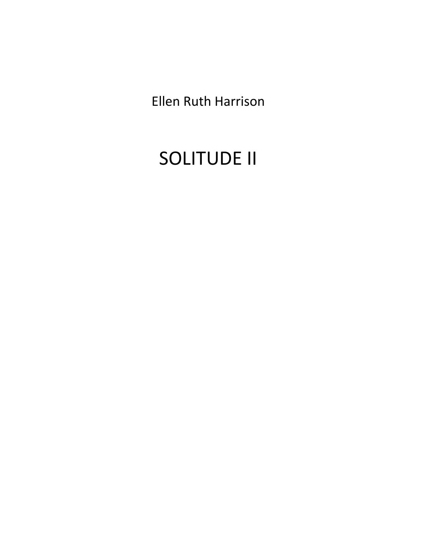Ellen Ruth Harrison

## **SOLITUDE II**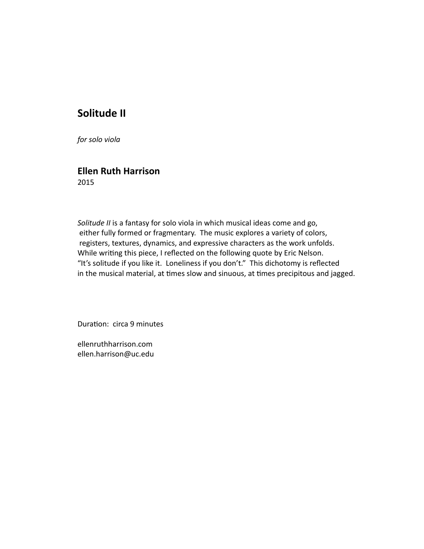## **Solitude II**

for solo viola

## **Ellen Ruth Harrison** 2015

*Solitude II* is a fantasy for solo viola in which musical ideas come and go, either fully formed or fragmentary. The music explores a variety of colors, registers, textures, dynamics, and expressive characters as the work unfolds. While writing this piece, I reflected on the following quote by Eric Nelson. "It's solitude if you like it. Loneliness if you don't." This dichotomy is reflected in the musical material, at times slow and sinuous, at times precipitous and jagged.

Duration: circa 9 minutes

ellenruthharrison.com ellen.harrison@uc.edu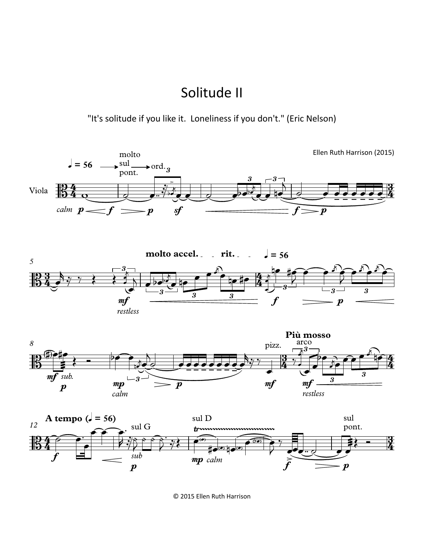## Solitude II

"It's solitude if you like it. Loneliness if you don't." (Eric Nelson)



© 2015 Ellen Ruth Harrison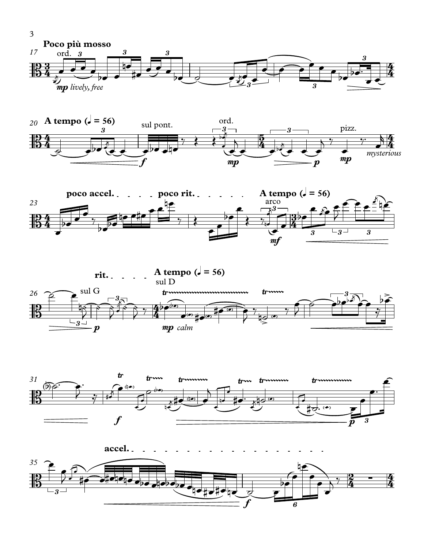









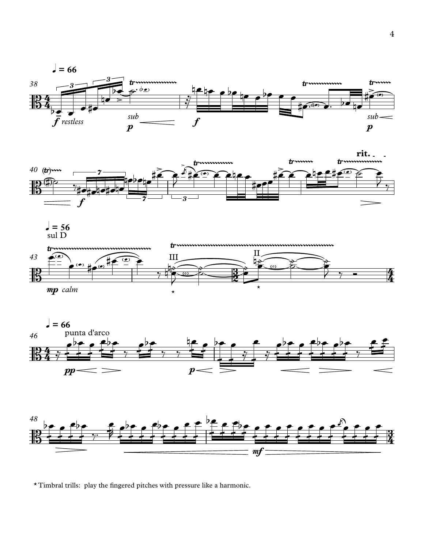









\* Timbral trills: play the fingered pitches with pressure like a harmonic.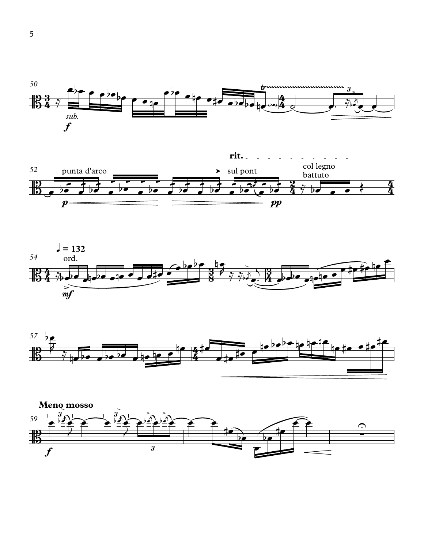







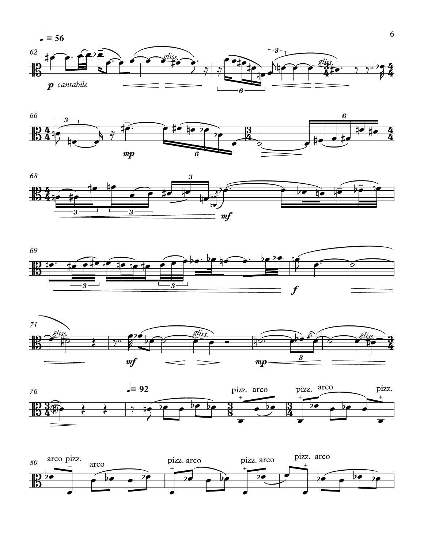











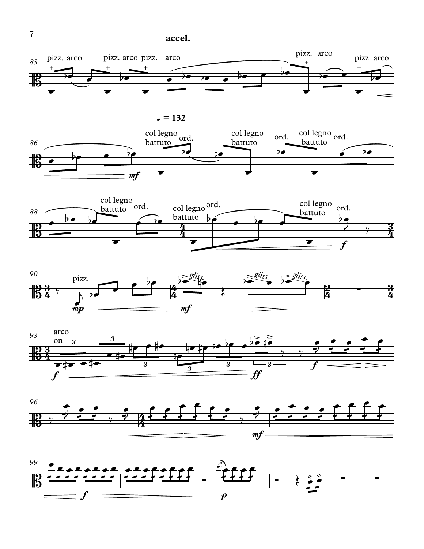